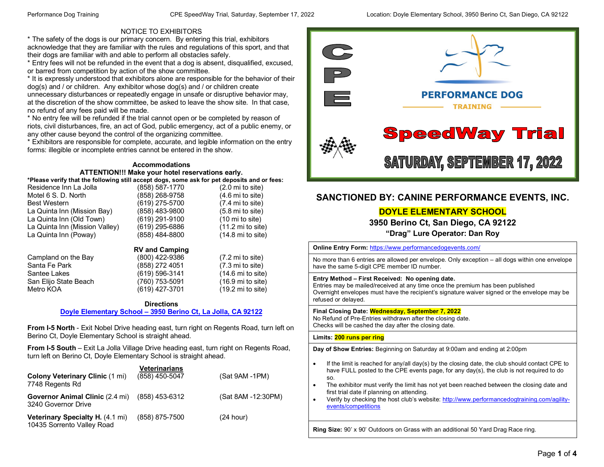#### NOTICE TO EXHIBITORS

\* The safety of the dogs is our primary concern. By entering this trial, exhibitors acknowledge that they are familiar with the rules and regulations of this sport, and that their dogs are familiar with and able to perform all obstacles safely.

\* Entry fees will not be refunded in the event that a dog is absent, disqualified, excused, or barred from competition by action of the show committee.

\* It is expressly understood that exhibitors alone are responsible for the behavior of their dog(s) and / or children. Any exhibitor whose dog(s) and / or children create unnecessary disturbances or repeatedly engage in unsafe or disruptive behavior may, at the discretion of the show committee, be asked to leave the show site. In that case, no refund of any fees paid will be made.

\* No entry fee will be refunded if the trial cannot open or be completed by reason of riots, civil disturbances, fire, an act of God, public emergency, act of a public enemy, or any other cause beyond the control of the organizing committee.

\* Exhibitors are responsible for complete, accurate, and legible information on the entry forms: illegible or incomplete entries cannot be entered in the show.

#### **Accommodations ATTENTION!!! Make your hotel reservations early.**

| *Please verify that the following still accept dogs, some ask for pet deposits and or fees: |                |                             |
|---------------------------------------------------------------------------------------------|----------------|-----------------------------|
| Residence Inn La Jolla                                                                      | (858) 587-1770 | $(2.0 \text{ mi to site})$  |
| Motel 6 S. D. North                                                                         | (858) 268-9758 | $(4.6 \text{ mi to site})$  |
| <b>Best Western</b>                                                                         | (619) 275-5700 | $(7.4 \text{ mi to site})$  |
| La Quinta Inn (Mission Bay)                                                                 | (858) 483-9800 | $(5.8 \text{ mi to site})$  |
| La Quinta Inn (Old Town)                                                                    | (619) 291-9100 | $(10 \text{ mi to site})$   |
| La Quinta Inn (Mission Valley)                                                              | (619) 295-6886 | $(11.2 \text{ mi to site})$ |
| La Quinta Inn (Poway)                                                                       | (858) 484-8800 | $(14.8 \text{ mi to site})$ |
|                                                                                             |                |                             |

# San Elijo State Beach<br>Metro KOA

**RV and Camping**<br>(800) 422-9386 Campland on the Bay (800) 422-9386 (7.2 mi to site)<br>
Santa Fe Park (858) 272 4051 (7.3 mi to site) Santa Fe Park (858) 272 4051 (7.3 mi to site)<br>
Santee Lakes (619) 596-3141 (14.6 mi to site) (619) 596-3141 (14.6 mi to site)<br>(760) 753-5091 (16.9 mi to site) (619) 427-3701 (19.2 mi to site)

#### **Directions Doyle Elementary School – [3950 Berino Ct, La Jolla, CA 92122](https://maps.google.com/maps/ms?msid=204473906697647209681.0004cfcbe26198ef59c15&msa=0&ll=32.863665,-117.21807&spn=0.005191,0.011373)**

**From I-5 North** - Exit Nobel Drive heading east, turn right on Regents Road, turn left on Berino Ct, Doyle Elementary School is straight ahead.

**From I-5 South** – Exit La Jolla Village Drive heading east, turn right on Regents Road, turn left on Berino Ct, Doyle Elementary School is straight ahead.

| <b>Colony Veterinary Clinic (1 mi)</b><br>7748 Regents Rd             | Veterinarians<br>(858) 450-5047 | (Sat 9AM -1PM)     |
|-----------------------------------------------------------------------|---------------------------------|--------------------|
| <b>Governor Animal Clinic (2.4 mi)</b><br>3240 Governor Drive         | (858) 453-6312                  | (Sat 8AM -12:30PM) |
| <b>Veterinary Specialty H. (4.1 mi)</b><br>10435 Sorrento Valley Road | (858) 875-7500                  | (24 hour)          |



#### **SANCTIONED BY: CANINE PERFORMANCE EVENTS, INC.**

#### **DOYLE ELEMENTARY SCHOOL**

**3950 Berino Ct, San Diego, CA 92122 "Drag" Lure Operator: Dan Roy**

**Online Entry Form:** <https://www.performancedogevents.com/> No more than 6 entries are allowed per envelope. Only exception – all dogs within one envelope have the same 5-digit CPE member ID number. **Entry Method – First Received: No opening date.**  Entries may be mailed/received at any time once the premium has been published Overnight envelopes must have the recipient's signature waiver signed or the envelope may be refused or delayed. **Final Closing Date: Wednesday, September 7, 2022** No Refund of Pre-Entries withdrawn after the closing date. Checks will be cashed the day after the closing date. **Limits: 200 runs per ring Day of Show Entries:** Beginning on Saturday at 9:00am and ending at 2:00pm • If the limit is reached for any/all day(s) by the closing date, the club should contact CPE to have FULL posted to the CPE events page, for any day(s), the club is not required to do so. The exhibitor must verify the limit has not yet been reached between the closing date and first trial date if planning on attending. • Verify by checking the host club's website: [http://www.performancedogtraining.com/agility](http://www.performancedogtraining.com/agility-events/competitions)[events/competitions](http://www.performancedogtraining.com/agility-events/competitions)

**Ring Size:** 90' x 90' Outdoors on Grass with an additional 50 Yard Drag Race ring.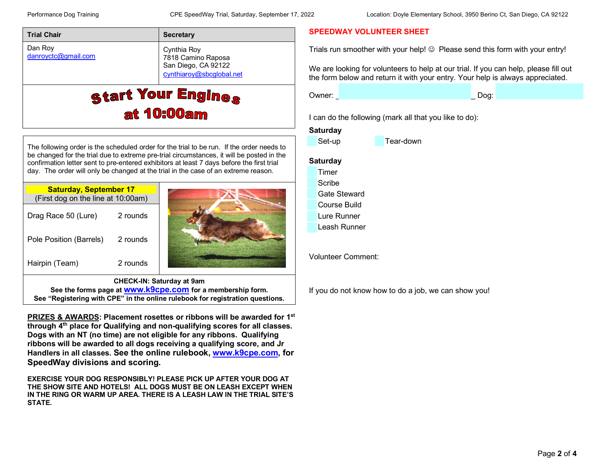| <b>Trial Chair</b>             | <b>Secretary</b>                                                                     |
|--------------------------------|--------------------------------------------------------------------------------------|
| Dan Roy<br>danroyctc@gmail.com | Cynthia Roy<br>7818 Camino Raposa<br>San Diego, CA 92122<br>cynthiaroy@sbcglobal.net |
|                                | <b>Start Your Engines</b><br><b>at 10:00am</b>                                       |

The following order is the scheduled order for the trial to be run. If the order needs to be changed for the trial due to extreme pre-trial circumstances, it will be posted in the confirmation letter sent to pre-entered exhibitors at least 7 days before the first trial day. The order will only be changed at the trial in the case of an extreme reason.

| <b>Saturday, September 17</b><br>(First dog on the line at 10:00am) |          |                           |
|---------------------------------------------------------------------|----------|---------------------------|
| Drag Race 50 (Lure)                                                 | 2 rounds |                           |
| Pole Position (Barrels)                                             | 2 rounds |                           |
| Hairpin (Team)                                                      | 2 rounds |                           |
|                                                                     |          | CHECK-IN: Saturday at 9am |

**CHECK-IN: Saturday at 9am See the forms page at [www.k9cpe.com](http://www.k9cpe.com/) for a membership form. See "Registering with CPE" in the online rulebook for registration questions.**

**PRIZES & AWARDS: Placement rosettes or ribbons will be awarded for 1st through 4th place for Qualifying and non-qualifying scores for all classes. Dogs with an NT (no time) are not eligible for any ribbons. Qualifying ribbons will be awarded to all dogs receiving a qualifying score, and Jr Handlers in all classes. See the online rulebook, [www.k9cpe.com,](http://www.k9cpe.com/) for SpeedWay divisions and scoring.**

**EXERCISE YOUR DOG RESPONSIBLY! PLEASE PICK UP AFTER YOUR DOG AT THE SHOW SITE AND HOTELS! ALL DOGS MUST BE ON LEASH EXCEPT WHEN IN THE RING OR WARM UP AREA. THERE IS A LEASH LAW IN THE TRIAL SITE'S STATE.**

#### **SPEEDWAY VOLUNTEER SHEET**

Trials run smoother with your help!  $\odot$  Please send this form with your entry!

We are looking for volunteers to help at our trial. If you can help, please fill out the form below and return it with your entry. Your help is always appreciated.

Owner: \_\_\_\_\_\_\_\_\_\_\_\_\_\_\_\_\_\_\_\_\_\_\_\_\_\_\_\_\_\_\_\_\_ Dog: \_\_\_\_\_\_\_\_\_\_\_\_\_\_\_\_\_\_\_

I can do the following (mark all that you like to do):

#### **Saturday**

Set-up **Tear-down** 

#### **Saturday**

 Timer **Scribe**  Gate Steward Course Build Lure Runner Leash Runner

Volunteer Comment:

If you do not know how to do a job, we can show you!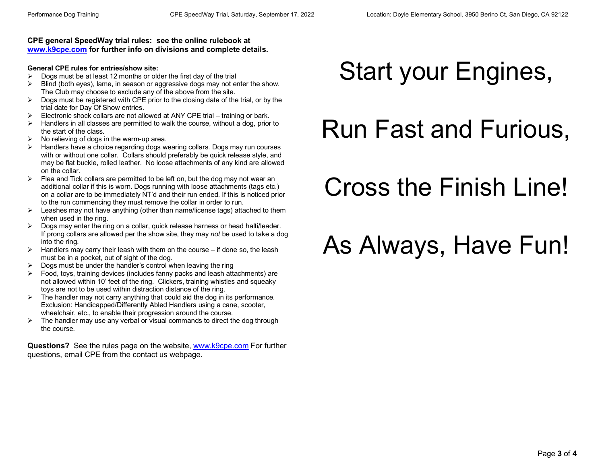#### **CPE general SpeedWay trial rules: see the online rulebook at [www.k9cpe.com](http://www.k9cpe.com/) for further info on divisions and complete details.**

#### **General CPE rules for entries/show site:**

- $\triangleright$  Dogs must be at least 12 months or older the first day of the trial
- $\triangleright$  Blind (both eyes), lame, in season or aggressive dogs may not enter the show. The Club may choose to exclude any of the above from the site.
- $\triangleright$  Dogs must be registered with CPE prior to the closing date of the trial, or by the trial date for Day Of Show entries.
- $\triangleright$  Electronic shock collars are not allowed at ANY CPE trial training or bark.
- $\triangleright$  Handlers in all classes are permitted to walk the course, without a dog, prior to the start of the class.
- $\triangleright$  No relieving of dogs in the warm-up area.
- $\triangleright$  Handlers have a choice regarding dogs wearing collars. Dogs may run courses with or without one collar. Collars should preferably be quick release style, and may be flat buckle, rolled leather. No loose attachments of any kind are allowed on the collar.
- $\triangleright$  Flea and Tick collars are permitted to be left on, but the dog may not wear an additional collar if this is worn. Dogs running with loose attachments (tags etc.) on a collar are to be immediately NT'd and their run ended. If this is noticed prior to the run commencing they must remove the collar in order to run.
- $\triangleright$  Leashes may not have anything (other than name/license tags) attached to them when used in the ring.
- $\triangleright$  Dogs may enter the ring on a collar, quick release harness or head halti/leader. If prong collars are allowed per the show site, they may *not* be used to take a dog into the ring.
- $\triangleright$  Handlers may carry their leash with them on the course if done so, the leash must be in a pocket, out of sight of the dog.
- $\triangleright$  Dogs must be under the handler's control when leaving the ring
- $\triangleright$  Food, toys, training devices (includes fanny packs and leash attachments) are not allowed within 10' feet of the ring. Clickers, training whistles and squeaky toys are not to be used within distraction distance of the ring.
- $\triangleright$  The handler may not carry anything that could aid the dog in its performance. Exclusion: Handicapped/Differently Abled Handlers using a cane, scooter, wheelchair, etc., to enable their progression around the course.
- $\triangleright$  The handler may use any verbal or visual commands to direct the dog through the course.

**Questions?** See the rules page on the website, [www.k9cpe.com](http://www.k9cpe.com/) For further questions, email CPE from the contact us webpage.

## Start your Engines,

### Run Fast and Furious,

### Cross the Finish Line!

## As Always, Have Fun!